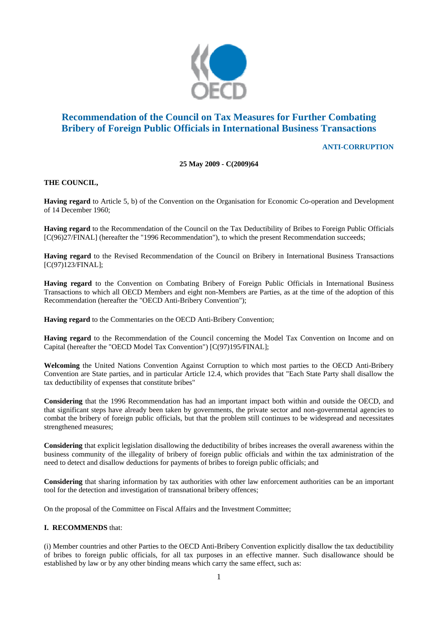

# **Recommendation of the Council on Tax Measures for Further Combating Bribery of Foreign Public Officials in International Business Transactions**

## **ANTI-CORRUPTION**

### **25 May 2009 - C(2009)64**

#### **THE COUNCIL,**

**Having regard** to Article 5, b) of the Convention on the Organisation for Economic Co-operation and Development of 14 December 1960;

**Having regard** to the Recommendation of the Council on the Tax Deductibility of Bribes to Foreign Public Officials [C(96)27/FINAL] (hereafter the "1996 Recommendation"), to which the present Recommendation succeeds;

**Having regard** to the Revised Recommendation of the Council on Bribery in International Business Transactions [C(97)123/FINAL];

**Having regard** to the Convention on Combating Bribery of Foreign Public Officials in International Business Transactions to which all OECD Members and eight non-Members are Parties, as at the time of the adoption of this Recommendation (hereafter the "OECD Anti-Bribery Convention");

**Having regard** to the Commentaries on the OECD Anti-Bribery Convention;

**Having regard** to the Recommendation of the Council concerning the Model Tax Convention on Income and on Capital (hereafter the "OECD Model Tax Convention") [C(97)195/FINAL];

**Welcoming** the United Nations Convention Against Corruption to which most parties to the OECD Anti-Bribery Convention are State parties, and in particular Article 12.4, which provides that "Each State Party shall disallow the tax deductibility of expenses that constitute bribes"

**Considering** that the 1996 Recommendation has had an important impact both within and outside the OECD, and that significant steps have already been taken by governments, the private sector and non-governmental agencies to combat the bribery of foreign public officials, but that the problem still continues to be widespread and necessitates strengthened measures;

**Considering** that explicit legislation disallowing the deductibility of bribes increases the overall awareness within the business community of the illegality of bribery of foreign public officials and within the tax administration of the need to detect and disallow deductions for payments of bribes to foreign public officials; and

**Considering** that sharing information by tax authorities with other law enforcement authorities can be an important tool for the detection and investigation of transnational bribery offences;

On the proposal of the Committee on Fiscal Affairs and the Investment Committee;

#### **I. RECOMMENDS** that:

(i) Member countries and other Parties to the OECD Anti-Bribery Convention explicitly disallow the tax deductibility of bribes to foreign public officials, for all tax purposes in an effective manner. Such disallowance should be established by law or by any other binding means which carry the same effect, such as: